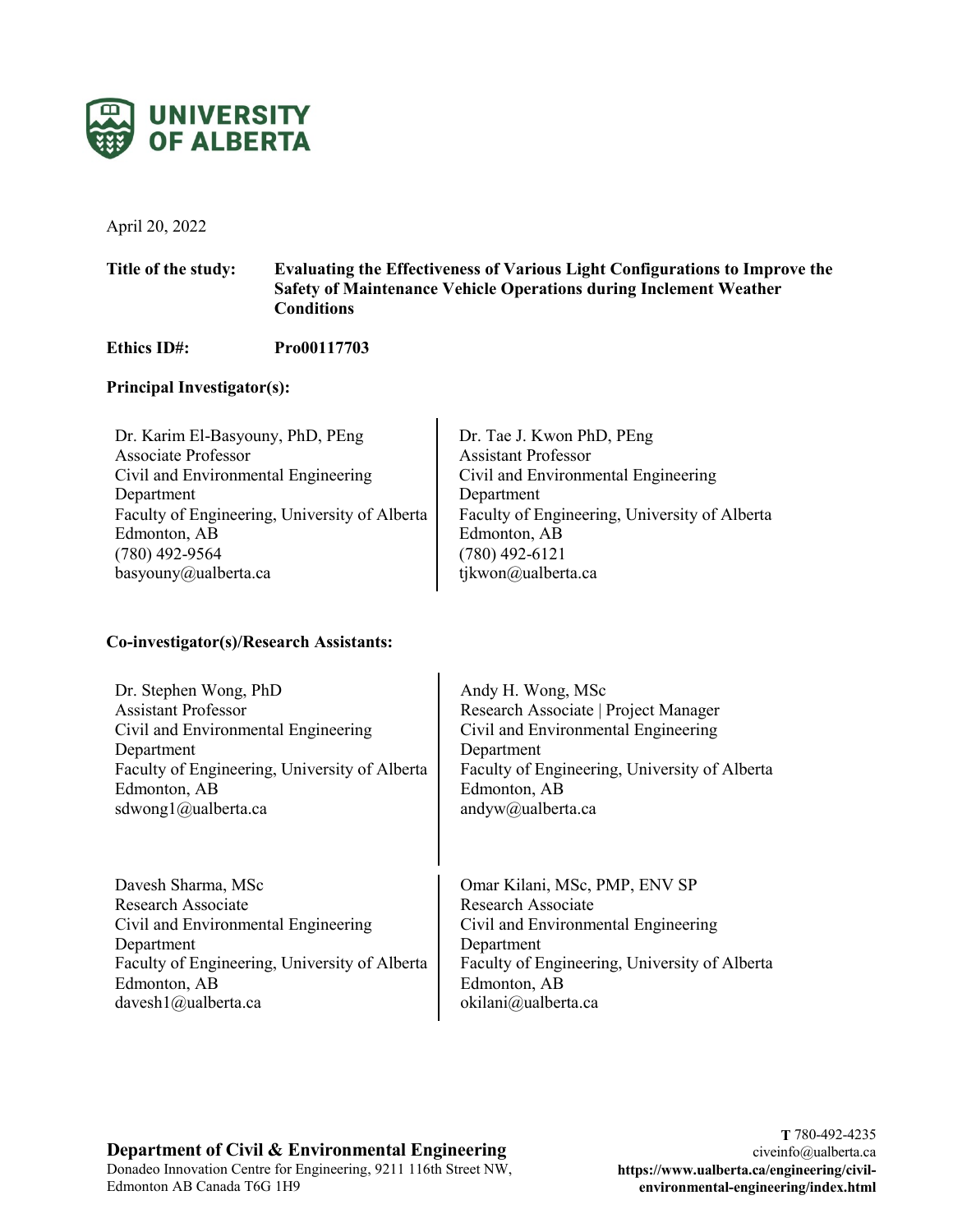

April 20, 2022

## **Title of the study: Evaluating the Effectiveness of Various Light Configurations to Improve the Safety of Maintenance Vehicle Operations during Inclement Weather Conditions**

**Ethics ID#: Pro00117703**

## **Principal Investigator(s):**

| Dr. Karim El-Basyouny, PhD, PEng              | Dr. Tae J. Kwon PhD, PEng                     |
|-----------------------------------------------|-----------------------------------------------|
| <b>Associate Professor</b>                    | <b>Assistant Professor</b>                    |
| Civil and Environmental Engineering           | Civil and Environmental Engineering           |
| Department                                    | Department                                    |
| Faculty of Engineering, University of Alberta | Faculty of Engineering, University of Alberta |
| Edmonton, AB                                  | Edmonton, AB                                  |
| $(780)$ 492-9564                              | $(780)$ 492-6121                              |
| basyouny@ualberta.ca                          | tjkwon@ualberta.ca                            |
|                                               |                                               |

 $\mathbf{I}$ 

## **Co-investigator(s)/Research Assistants:**

Dr. Stephen Wong, PhD Assistant Professor Civil and Environmental Engineering Department Faculty of Engineering, University of Alberta Edmonton, AB sdwong1@ualberta.ca

Davesh Sharma, MSc Research Associate Civil and Environmental Engineering Department Faculty of Engineering, University of Alberta Edmonton, AB davesh1@ualberta.ca

Andy H. Wong, MSc Research Associate | Project Manager Civil and Environmental Engineering Department Faculty of Engineering, University of Alberta Edmonton, AB andyw@ualberta.ca

Omar Kilani, MSc, PMP, ENV SP Research Associate Civil and Environmental Engineering Department Faculty of Engineering, University of Alberta Edmonton, AB okilani@ualberta.ca

# **Department of Civil & Environmental Engineering**

Donadeo Innovation Centre for Engineering, 9211 116th Street NW, Edmonton AB Canada T6G 1H9

**T** 780-492-4235 civeinfo@ualberta.ca **https://www.ualberta.ca/engineering/civilenvironmental-engineering/index.html**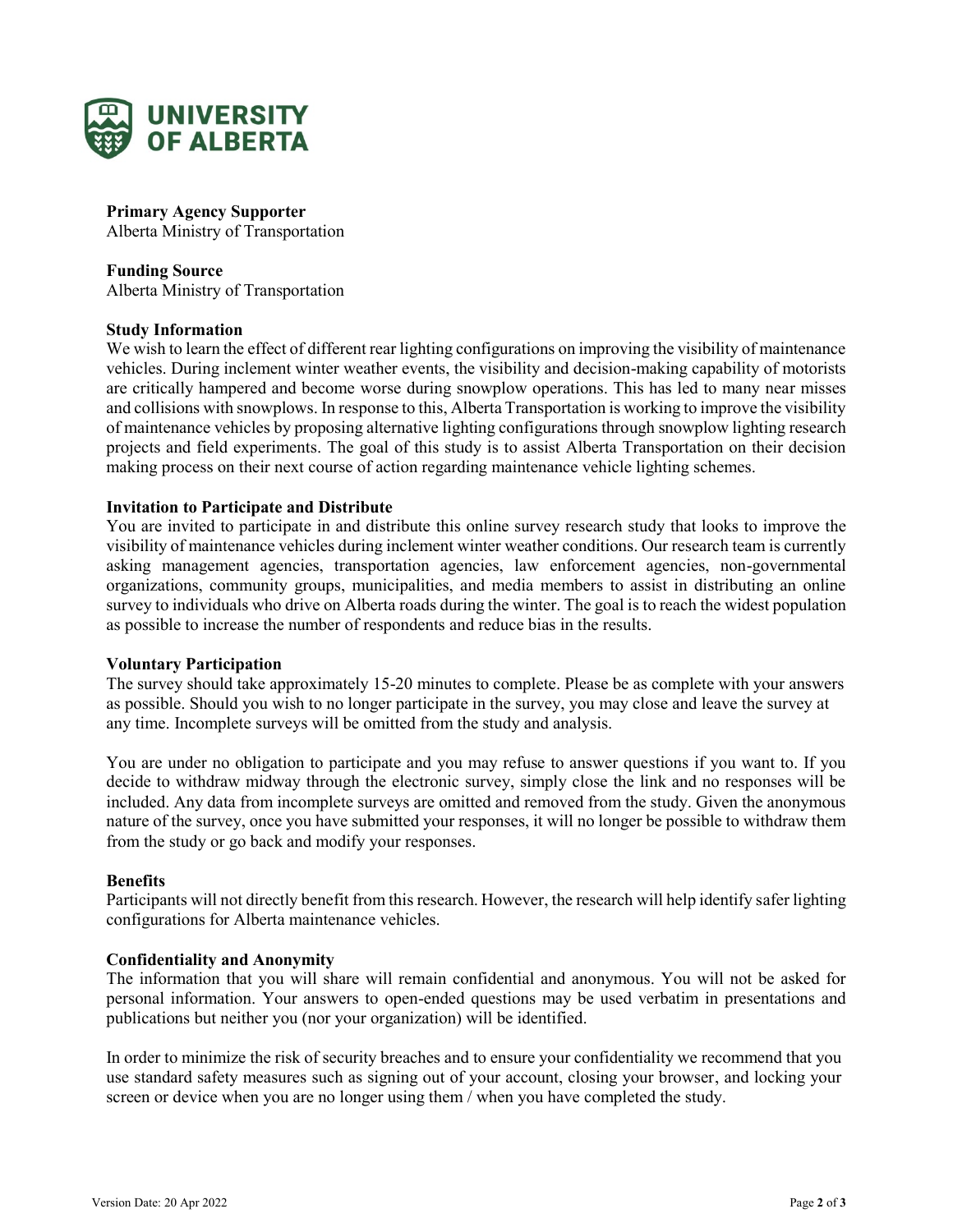

**Primary Agency Supporter** Alberta Ministry of Transportation

**Funding Source** Alberta Ministry of Transportation

#### **Study Information**

We wish to learn the effect of different rear lighting configurations on improving the visibility of maintenance vehicles. During inclement winter weather events, the visibility and decision-making capability of motorists are critically hampered and become worse during snowplow operations. This has led to many near misses and collisions with snowplows. In response to this, Alberta Transportation is working to improve the visibility of maintenance vehicles by proposing alternative lighting configurations through snowplow lighting research projects and field experiments. The goal of this study is to assist Alberta Transportation on their decision making process on their next course of action regarding maintenance vehicle lighting schemes.

#### **Invitation to Participate and Distribute**

You are invited to participate in and distribute this online survey research study that looks to improve the visibility of maintenance vehicles during inclement winter weather conditions. Our research team is currently asking management agencies, transportation agencies, law enforcement agencies, non-governmental organizations, community groups, municipalities, and media members to assist in distributing an online survey to individuals who drive on Alberta roads during the winter. The goal is to reach the widest population as possible to increase the number of respondents and reduce bias in the results.

#### **Voluntary Participation**

The survey should take approximately 15-20 minutes to complete. Please be as complete with your answers as possible. Should you wish to no longer participate in the survey, you may close and leave the survey at any time. Incomplete surveys will be omitted from the study and analysis.

You are under no obligation to participate and you may refuse to answer questions if you want to. If you decide to withdraw midway through the electronic survey, simply close the link and no responses will be included. Any data from incomplete surveys are omitted and removed from the study. Given the anonymous nature of the survey, once you have submitted your responses, it will no longer be possible to withdraw them from the study or go back and modify your responses.

#### **Benefits**

Participants will not directly benefit from this research. However, the research will help identify safer lighting configurations for Alberta maintenance vehicles.

## **Confidentiality and Anonymity**

The information that you will share will remain confidential and anonymous. You will not be asked for personal information. Your answers to open-ended questions may be used verbatim in presentations and publications but neither you (nor your organization) will be identified.

In order to minimize the risk of security breaches and to ensure your confidentiality we recommend that you use standard safety measures such as signing out of your account, closing your browser, and locking your screen or device when you are no longer using them / when you have completed the study.